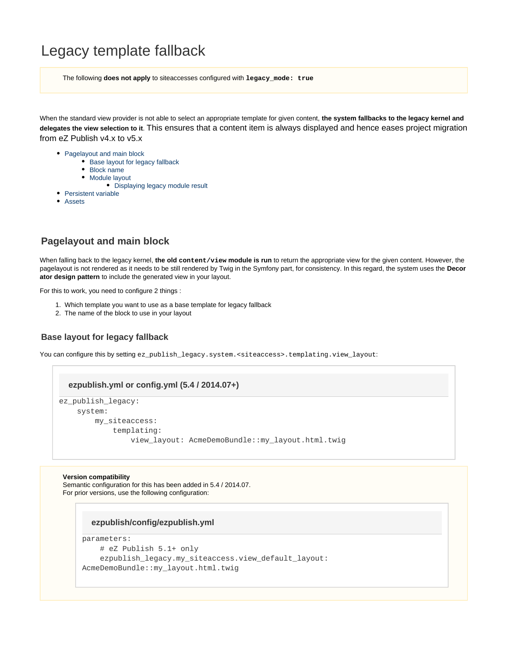# Legacy template fallback

The following **does not apply** to siteaccesses configured with **legacy\_mode: true**

When the standard view provider is not able to select an appropriate template for given content, **the system fallbacks to the legacy kernel and delegates the view selection to it**. This ensures that a content item is always displayed and hence eases project migration from eZ Publish v4.x to v5.x

- [Pagelayout and main block](#page-0-0)
	- [Base layout for legacy fallback](#page-0-1)
	- [Block name](#page-0-2)
	- [Module layout](#page-1-0)
		- [Displaying legacy module result](#page-1-1)
- [Persistent variable](#page-2-0)
- [Assets](#page-3-0)

# <span id="page-0-0"></span>**Pagelayout and main block**

When falling back to the legacy kernel, **the old content/view module is run** to return the appropriate view for the given content. However, the pagelayout is not rendered as it needs to be still rendered by Twig in the Symfony part, for consistency. In this regard, the system uses the **Decor ator design pattern** to include the generated view in your layout.

For this to work, you need to configure 2 things :

- 1. Which template you want to use as a base template for legacy fallback
- 2. The name of the block to use in your layout

# <span id="page-0-1"></span>**Base layout for legacy fallback**

You can configure this by setting ez\_publish\_legacy.system.<siteaccess>.templating.view\_layout:

#### **ezpublish.yml or config.yml (5.4 / 2014.07+)**

```
ez_publish_legacy:
     system:
         my_siteaccess:
             templating:
                  view_layout: AcmeDemoBundle::my_layout.html.twig
```
#### **Version compatibility**

Semantic configuration for this has been added in 5.4 / 2014.07. For prior versions, use the following configuration:

#### **ezpublish/config/ezpublish.yml**

```
parameters:
     # eZ Publish 5.1+ only
    ezpublish legacy.my siteaccess.view default layout:
AcmeDemoBundle::my_layout.html.twig
```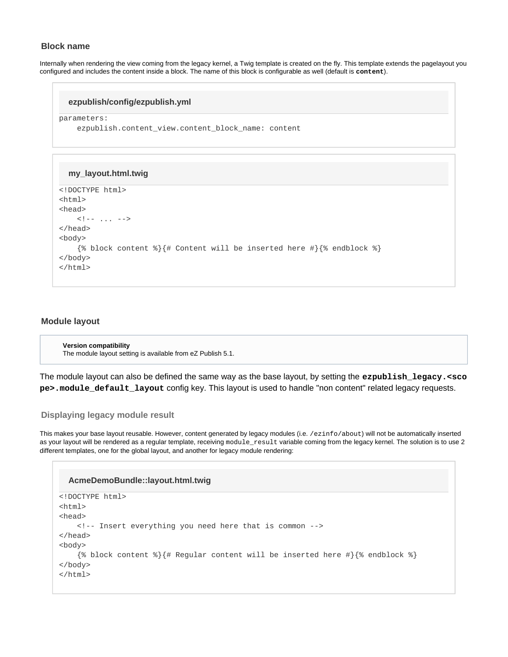# **Block name**

Internally when rendering the view coming from the legacy kernel, a Twig template is created on the fly. This template extends the pagelayout you configured and includes the content inside a block. The name of this block is configurable as well (default is **content**).

#### **ezpublish/config/ezpublish.yml**

parameters:

```
 ezpublish.content_view.content_block_name: content
```
#### **my\_layout.html.twig**

```
<!DOCTYPE html>
<html>
<head>
    \langle!-- ... -->
</head>
<body>
     {% block content %}{# Content will be inserted here #}{% endblock %}
</body>
</html>
```
# <span id="page-1-0"></span>**Module layout**

```
Version compatibility
The module layout setting is available from eZ Publish 5.1.
```
The module layout can also be defined the same way as the base layout, by setting the **ezpublish\_legacy.<sco pe>.module\_default\_layout** config key. This layout is used to handle "non content" related legacy requests.

# <span id="page-1-1"></span>**Displaying legacy module result**

This makes your base layout reusable. However, content generated by legacy modules (i.e. /ezinfo/about) will not be automatically inserted as your layout will be rendered as a regular template, receiving module\_result variable coming from the legacy kernel. The solution is to use 2 different templates, one for the global layout, and another for legacy module rendering:

```
<!DOCTYPE html>
<html>
<head>
     <!-- Insert everything you need here that is common -->
</head>
<body>
     {% block content %}{# Regular content will be inserted here #}{% endblock %}
</body>
</html>
  AcmeDemoBundle::layout.html.twig
```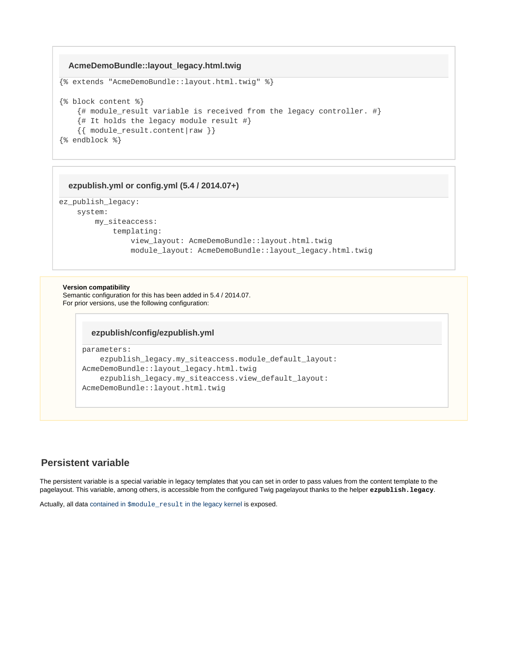# **AcmeDemoBundle::layout\_legacy.html.twig**

```
{% extends "AcmeDemoBundle::layout.html.twig" %}
{% block content %}
     {# module_result variable is received from the legacy controller. #}
     {# It holds the legacy module result #}
     {{ module_result.content|raw }}
{% endblock %}
```
#### **ezpublish.yml or config.yml (5.4 / 2014.07+)**

```
ez_publish_legacy:
     system:
         my_siteaccess:
             templating:
                 view_layout: AcmeDemoBundle::layout.html.twig
                 module_layout: AcmeDemoBundle::layout_legacy.html.twig
```
#### **Version compatibility**

Semantic configuration for this has been added in 5.4 / 2014.07. For prior versions, use the following configuration:

#### **ezpublish/config/ezpublish.yml**

```
parameters:
```

```
 ezpublish_legacy.my_siteaccess.module_default_layout:
AcmeDemoBundle::layout_legacy.html.twig
     ezpublish_legacy.my_siteaccess.view_default_layout:
AcmeDemoBundle::layout.html.twig
```
# <span id="page-2-0"></span>**Persistent variable**

The persistent variable is a special variable in legacy templates that you can set in order to pass values from the content template to the pagelayout. This variable, among others, is accessible from the configured Twig pagelayout thanks to the helper **ezpublish.legacy**.

Actually, all data contained in  $$$ module result [in the legacy kernel](http://doc.ez.no/eZ-Publish/Technical-manual/4.x/Templates/The-pagelayout/Variables-in-pagelayout#module_result) is exposed.